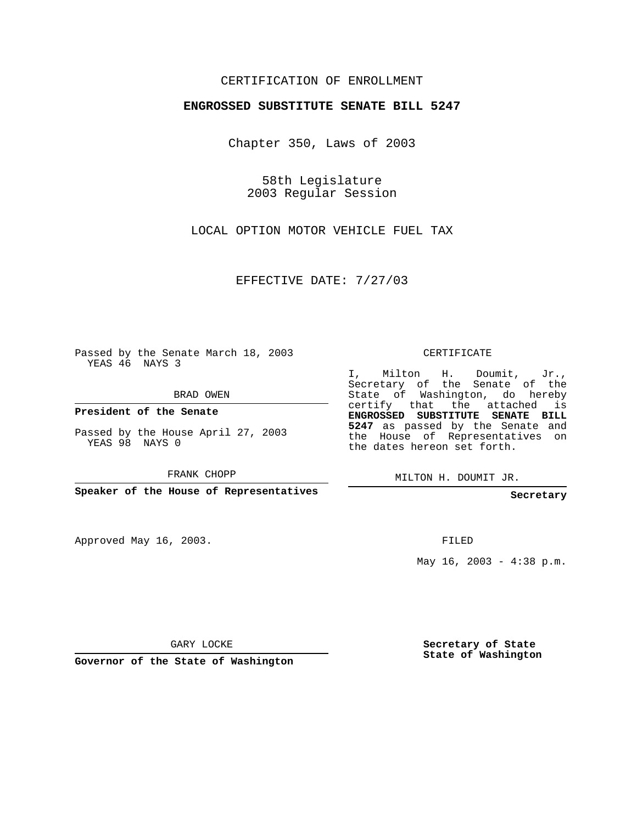## CERTIFICATION OF ENROLLMENT

## **ENGROSSED SUBSTITUTE SENATE BILL 5247**

Chapter 350, Laws of 2003

58th Legislature 2003 Regular Session

LOCAL OPTION MOTOR VEHICLE FUEL TAX

EFFECTIVE DATE: 7/27/03

Passed by the Senate March 18, 2003 YEAS 46 NAYS 3

BRAD OWEN

**President of the Senate**

Passed by the House April 27, 2003 YEAS 98 NAYS 0

FRANK CHOPP

**Speaker of the House of Representatives**

Approved May 16, 2003.

CERTIFICATE

I, Milton H. Doumit, Jr., Secretary of the Senate of the State of Washington, do hereby certify that the attached is **ENGROSSED SUBSTITUTE SENATE BILL 5247** as passed by the Senate and the House of Representatives on the dates hereon set forth.

MILTON H. DOUMIT JR.

**Secretary**

FILED

May  $16$ ,  $2003 - 4:38$  p.m.

GARY LOCKE

**Governor of the State of Washington**

**Secretary of State State of Washington**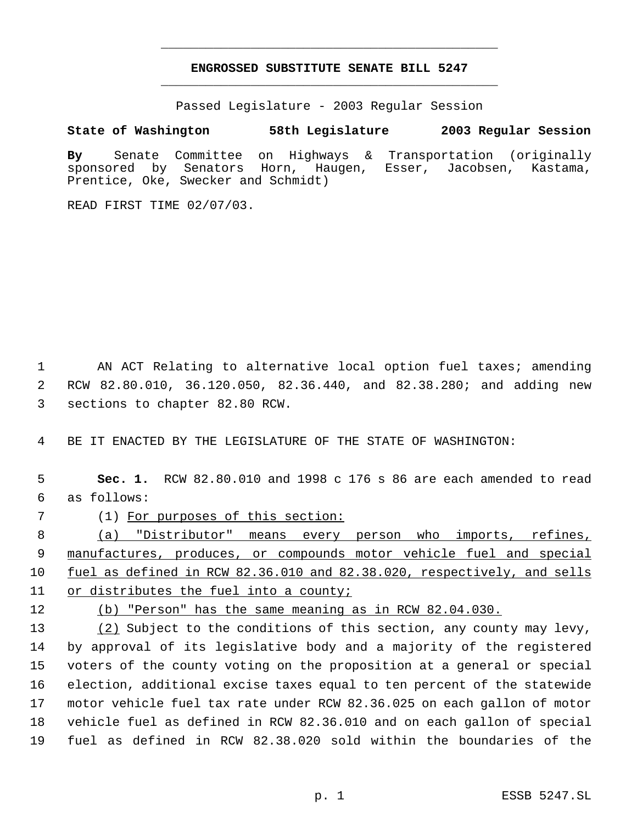## **ENGROSSED SUBSTITUTE SENATE BILL 5247** \_\_\_\_\_\_\_\_\_\_\_\_\_\_\_\_\_\_\_\_\_\_\_\_\_\_\_\_\_\_\_\_\_\_\_\_\_\_\_\_\_\_\_\_\_

\_\_\_\_\_\_\_\_\_\_\_\_\_\_\_\_\_\_\_\_\_\_\_\_\_\_\_\_\_\_\_\_\_\_\_\_\_\_\_\_\_\_\_\_\_

Passed Legislature - 2003 Regular Session

## **State of Washington 58th Legislature 2003 Regular Session**

**By** Senate Committee on Highways & Transportation (originally sponsored by Senators Horn, Haugen, Esser, Jacobsen, Kastama, Prentice, Oke, Swecker and Schmidt)

READ FIRST TIME 02/07/03.

 1 AN ACT Relating to alternative local option fuel taxes; amending 2 RCW 82.80.010, 36.120.050, 82.36.440, and 82.38.280; and adding new 3 sections to chapter 82.80 RCW.

4 BE IT ENACTED BY THE LEGISLATURE OF THE STATE OF WASHINGTON:

 5 **Sec. 1.** RCW 82.80.010 and 1998 c 176 s 86 are each amended to read 6 as follows:

7 (1) For purposes of this section:

 (a) "Distributor" means every person who imports, refines, 9 manufactures, produces, or compounds motor vehicle fuel and special fuel as defined in RCW 82.36.010 and 82.38.020, respectively, and sells or distributes the fuel into a county;

12 (b) "Person" has the same meaning as in RCW 82.04.030.

13 (2) Subject to the conditions of this section, any county may levy, by approval of its legislative body and a majority of the registered voters of the county voting on the proposition at a general or special election, additional excise taxes equal to ten percent of the statewide motor vehicle fuel tax rate under RCW 82.36.025 on each gallon of motor vehicle fuel as defined in RCW 82.36.010 and on each gallon of special fuel as defined in RCW 82.38.020 sold within the boundaries of the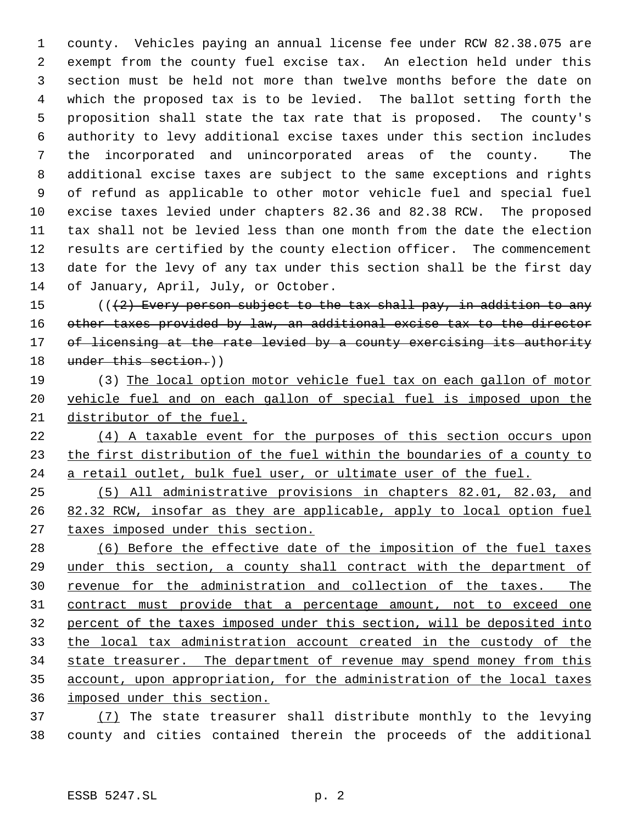county. Vehicles paying an annual license fee under RCW 82.38.075 are exempt from the county fuel excise tax. An election held under this section must be held not more than twelve months before the date on which the proposed tax is to be levied. The ballot setting forth the proposition shall state the tax rate that is proposed. The county's authority to levy additional excise taxes under this section includes the incorporated and unincorporated areas of the county. The additional excise taxes are subject to the same exceptions and rights of refund as applicable to other motor vehicle fuel and special fuel excise taxes levied under chapters 82.36 and 82.38 RCW. The proposed tax shall not be levied less than one month from the date the election results are certified by the county election officer. The commencement date for the levy of any tax under this section shall be the first day of January, April, July, or October.

 $((2)$  Every person subject to the tax shall pay, in addition to any 16 other taxes provided by law, an additional excise tax to the director 17 of licensing at the rate levied by a county exercising its authority 18 under this section.)

 (3) The local option motor vehicle fuel tax on each gallon of motor vehicle fuel and on each gallon of special fuel is imposed upon the distributor of the fuel.

 (4) A taxable event for the purposes of this section occurs upon 23 the first distribution of the fuel within the boundaries of a county to 24 a retail outlet, bulk fuel user, or ultimate user of the fuel.

 (5) All administrative provisions in chapters 82.01, 82.03, and 26 82.32 RCW, insofar as they are applicable, apply to local option fuel 27 taxes imposed under this section.

 (6) Before the effective date of the imposition of the fuel taxes under this section, a county shall contract with the department of 30 revenue for the administration and collection of the taxes. The contract must provide that a percentage amount, not to exceed one percent of the taxes imposed under this section, will be deposited into the local tax administration account created in the custody of the 34 state treasurer. The department of revenue may spend money from this account, upon appropriation, for the administration of the local taxes imposed under this section.

 (7) The state treasurer shall distribute monthly to the levying county and cities contained therein the proceeds of the additional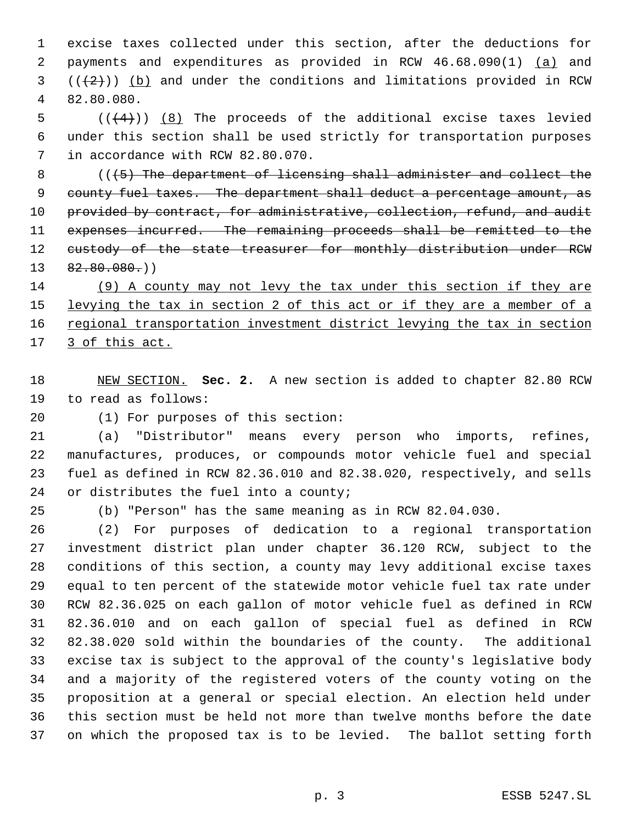excise taxes collected under this section, after the deductions for payments and expenditures as provided in RCW 46.68.090(1) (a) and  $((+2+))$  (b) and under the conditions and limitations provided in RCW 82.80.080.

5  $((+4))$   $(8)$  The proceeds of the additional excise taxes levied under this section shall be used strictly for transportation purposes in accordance with RCW 82.80.070.

 (((5) The department of licensing shall administer and collect the 9 county fuel taxes. The department shall deduct a percentage amount, as 10 provided by contract, for administrative, collection, refund, and audit expenses incurred. The remaining proceeds shall be remitted to the 12 custody of the state treasurer for monthly distribution under RCW  $13 \quad 82.80.080()$ 

 (9) A county may not levy the tax under this section if they are 15 levying the tax in section 2 of this act or if they are a member of a 16 regional transportation investment district levying the tax in section 17 3 of this act.

 NEW SECTION. **Sec. 2.** A new section is added to chapter 82.80 RCW to read as follows:

(1) For purposes of this section:

 (a) "Distributor" means every person who imports, refines, manufactures, produces, or compounds motor vehicle fuel and special fuel as defined in RCW 82.36.010 and 82.38.020, respectively, and sells or distributes the fuel into a county;

(b) "Person" has the same meaning as in RCW 82.04.030.

 (2) For purposes of dedication to a regional transportation investment district plan under chapter 36.120 RCW, subject to the conditions of this section, a county may levy additional excise taxes equal to ten percent of the statewide motor vehicle fuel tax rate under RCW 82.36.025 on each gallon of motor vehicle fuel as defined in RCW 82.36.010 and on each gallon of special fuel as defined in RCW 82.38.020 sold within the boundaries of the county. The additional excise tax is subject to the approval of the county's legislative body and a majority of the registered voters of the county voting on the proposition at a general or special election. An election held under this section must be held not more than twelve months before the date on which the proposed tax is to be levied. The ballot setting forth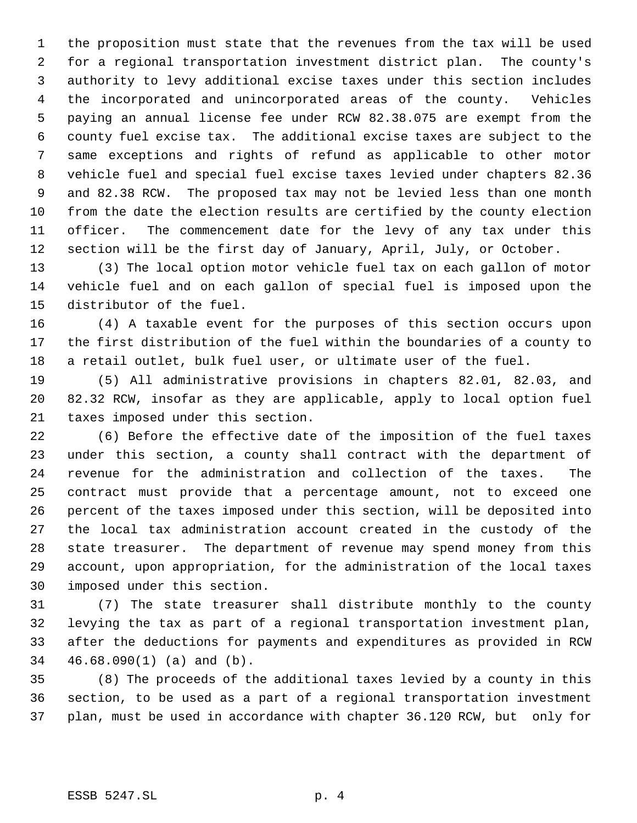the proposition must state that the revenues from the tax will be used for a regional transportation investment district plan. The county's authority to levy additional excise taxes under this section includes the incorporated and unincorporated areas of the county. Vehicles paying an annual license fee under RCW 82.38.075 are exempt from the county fuel excise tax. The additional excise taxes are subject to the same exceptions and rights of refund as applicable to other motor vehicle fuel and special fuel excise taxes levied under chapters 82.36 and 82.38 RCW. The proposed tax may not be levied less than one month from the date the election results are certified by the county election officer. The commencement date for the levy of any tax under this section will be the first day of January, April, July, or October.

 (3) The local option motor vehicle fuel tax on each gallon of motor vehicle fuel and on each gallon of special fuel is imposed upon the distributor of the fuel.

 (4) A taxable event for the purposes of this section occurs upon the first distribution of the fuel within the boundaries of a county to a retail outlet, bulk fuel user, or ultimate user of the fuel.

 (5) All administrative provisions in chapters 82.01, 82.03, and 82.32 RCW, insofar as they are applicable, apply to local option fuel taxes imposed under this section.

 (6) Before the effective date of the imposition of the fuel taxes under this section, a county shall contract with the department of revenue for the administration and collection of the taxes. The contract must provide that a percentage amount, not to exceed one percent of the taxes imposed under this section, will be deposited into the local tax administration account created in the custody of the state treasurer. The department of revenue may spend money from this account, upon appropriation, for the administration of the local taxes imposed under this section.

 (7) The state treasurer shall distribute monthly to the county levying the tax as part of a regional transportation investment plan, after the deductions for payments and expenditures as provided in RCW 46.68.090(1) (a) and (b).

 (8) The proceeds of the additional taxes levied by a county in this section, to be used as a part of a regional transportation investment plan, must be used in accordance with chapter 36.120 RCW, but only for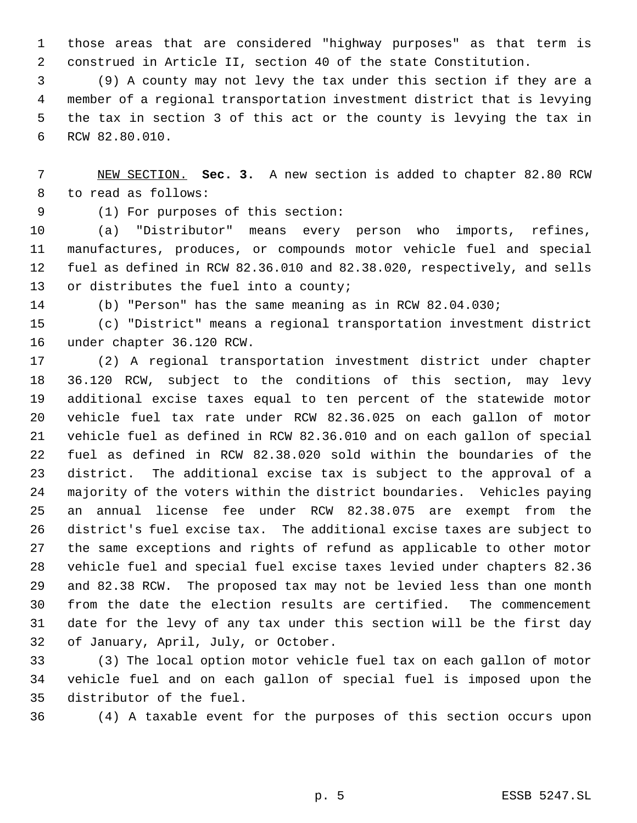those areas that are considered "highway purposes" as that term is construed in Article II, section 40 of the state Constitution.

 (9) A county may not levy the tax under this section if they are a member of a regional transportation investment district that is levying the tax in section 3 of this act or the county is levying the tax in RCW 82.80.010.

 NEW SECTION. **Sec. 3.** A new section is added to chapter 82.80 RCW to read as follows:

(1) For purposes of this section:

 (a) "Distributor" means every person who imports, refines, manufactures, produces, or compounds motor vehicle fuel and special fuel as defined in RCW 82.36.010 and 82.38.020, respectively, and sells or distributes the fuel into a county;

(b) "Person" has the same meaning as in RCW 82.04.030;

 (c) "District" means a regional transportation investment district under chapter 36.120 RCW.

 (2) A regional transportation investment district under chapter 36.120 RCW, subject to the conditions of this section, may levy additional excise taxes equal to ten percent of the statewide motor vehicle fuel tax rate under RCW 82.36.025 on each gallon of motor vehicle fuel as defined in RCW 82.36.010 and on each gallon of special fuel as defined in RCW 82.38.020 sold within the boundaries of the district. The additional excise tax is subject to the approval of a majority of the voters within the district boundaries. Vehicles paying an annual license fee under RCW 82.38.075 are exempt from the district's fuel excise tax. The additional excise taxes are subject to the same exceptions and rights of refund as applicable to other motor vehicle fuel and special fuel excise taxes levied under chapters 82.36 and 82.38 RCW. The proposed tax may not be levied less than one month from the date the election results are certified. The commencement date for the levy of any tax under this section will be the first day of January, April, July, or October.

 (3) The local option motor vehicle fuel tax on each gallon of motor vehicle fuel and on each gallon of special fuel is imposed upon the distributor of the fuel.

(4) A taxable event for the purposes of this section occurs upon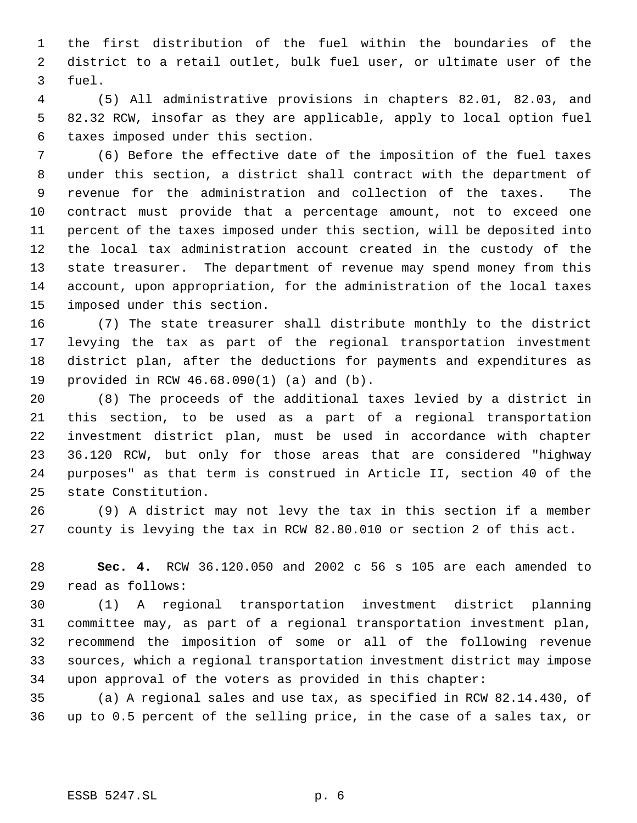the first distribution of the fuel within the boundaries of the district to a retail outlet, bulk fuel user, or ultimate user of the fuel.

 (5) All administrative provisions in chapters 82.01, 82.03, and 82.32 RCW, insofar as they are applicable, apply to local option fuel taxes imposed under this section.

 (6) Before the effective date of the imposition of the fuel taxes under this section, a district shall contract with the department of revenue for the administration and collection of the taxes. The contract must provide that a percentage amount, not to exceed one percent of the taxes imposed under this section, will be deposited into the local tax administration account created in the custody of the state treasurer. The department of revenue may spend money from this account, upon appropriation, for the administration of the local taxes imposed under this section.

 (7) The state treasurer shall distribute monthly to the district levying the tax as part of the regional transportation investment district plan, after the deductions for payments and expenditures as provided in RCW 46.68.090(1) (a) and (b).

 (8) The proceeds of the additional taxes levied by a district in this section, to be used as a part of a regional transportation investment district plan, must be used in accordance with chapter 36.120 RCW, but only for those areas that are considered "highway purposes" as that term is construed in Article II, section 40 of the state Constitution.

 (9) A district may not levy the tax in this section if a member county is levying the tax in RCW 82.80.010 or section 2 of this act.

 **Sec. 4.** RCW 36.120.050 and 2002 c 56 s 105 are each amended to read as follows:

 (1) A regional transportation investment district planning committee may, as part of a regional transportation investment plan, recommend the imposition of some or all of the following revenue sources, which a regional transportation investment district may impose upon approval of the voters as provided in this chapter:

 (a) A regional sales and use tax, as specified in RCW 82.14.430, of up to 0.5 percent of the selling price, in the case of a sales tax, or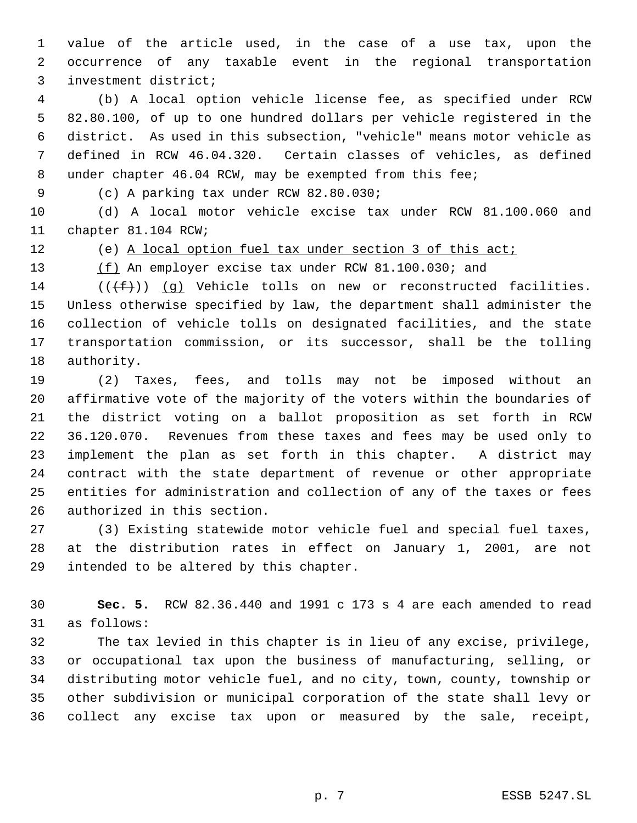value of the article used, in the case of a use tax, upon the occurrence of any taxable event in the regional transportation investment district;

 (b) A local option vehicle license fee, as specified under RCW 82.80.100, of up to one hundred dollars per vehicle registered in the district. As used in this subsection, "vehicle" means motor vehicle as defined in RCW 46.04.320. Certain classes of vehicles, as defined under chapter 46.04 RCW, may be exempted from this fee;

(c) A parking tax under RCW 82.80.030;

 (d) A local motor vehicle excise tax under RCW 81.100.060 and chapter 81.104 RCW;

(e) A local option fuel tax under section 3 of this act;

13 (f) An employer excise tax under RCW 81.100.030; and

14 ( $(\{\text{f}\})$ ) (q) Vehicle tolls on new or reconstructed facilities. Unless otherwise specified by law, the department shall administer the collection of vehicle tolls on designated facilities, and the state transportation commission, or its successor, shall be the tolling authority.

 (2) Taxes, fees, and tolls may not be imposed without an affirmative vote of the majority of the voters within the boundaries of the district voting on a ballot proposition as set forth in RCW 36.120.070. Revenues from these taxes and fees may be used only to implement the plan as set forth in this chapter. A district may contract with the state department of revenue or other appropriate entities for administration and collection of any of the taxes or fees authorized in this section.

 (3) Existing statewide motor vehicle fuel and special fuel taxes, at the distribution rates in effect on January 1, 2001, are not intended to be altered by this chapter.

 **Sec. 5.** RCW 82.36.440 and 1991 c 173 s 4 are each amended to read as follows:

 The tax levied in this chapter is in lieu of any excise, privilege, or occupational tax upon the business of manufacturing, selling, or distributing motor vehicle fuel, and no city, town, county, township or other subdivision or municipal corporation of the state shall levy or collect any excise tax upon or measured by the sale, receipt,